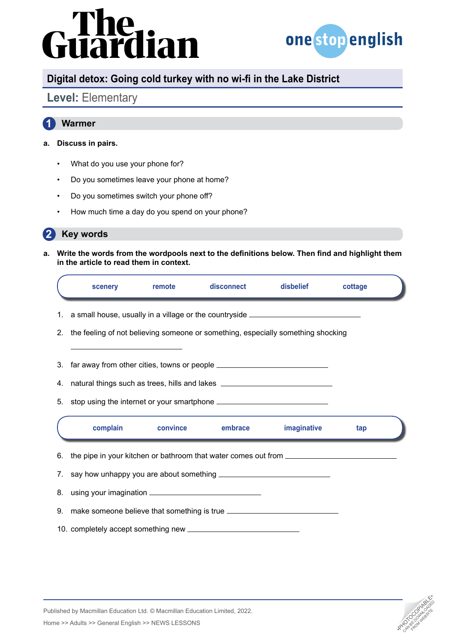# rdian



## **Digital detox: Going cold turkey with no wi-fi in the Lake District**

## **Level:** Elementary

### **1 Warmer**

### **a. Discuss in pairs.**

- What do you use your phone for?
- Do you sometimes leave your phone at home?
- Do you sometimes switch your phone off?
- How much time a day do you spend on your phone?

#### **2 Key words**

**a. Write the words from the wordpools next to the definitions below. Then find and highlight them in the article to read them in context.**

|    | scenery                                                                                 | remote   | disconnect | disbelief          | cottage |  |  |  |
|----|-----------------------------------------------------------------------------------------|----------|------------|--------------------|---------|--|--|--|
| 1. | a small house, usually in a village or the countryside _________________________        |          |            |                    |         |  |  |  |
|    | 2. the feeling of not believing someone or something, especially something shocking     |          |            |                    |         |  |  |  |
|    | 3. far away from other cities, towns or people _________________________________        |          |            |                    |         |  |  |  |
|    | 4. natural things such as trees, hills and lakes _______________________________        |          |            |                    |         |  |  |  |
|    | 5. stop using the internet or your smartphone __________________________________        |          |            |                    |         |  |  |  |
|    | complain                                                                                | convince | embrace    | <i>imaginative</i> | tap     |  |  |  |
|    | 6. the pipe in your kitchen or bathroom that water comes out from _____________________ |          |            |                    |         |  |  |  |
|    |                                                                                         |          |            |                    |         |  |  |  |
|    |                                                                                         |          |            |                    |         |  |  |  |
|    | 9. make someone believe that something is true _________________________________        |          |            |                    |         |  |  |  |
|    |                                                                                         |          |            |                    |         |  |  |  |



Published by Macmillan Education Ltd. © Macmillan Education Limited, 2022.

Home >> Adults >> General English >> NEWS LESSONS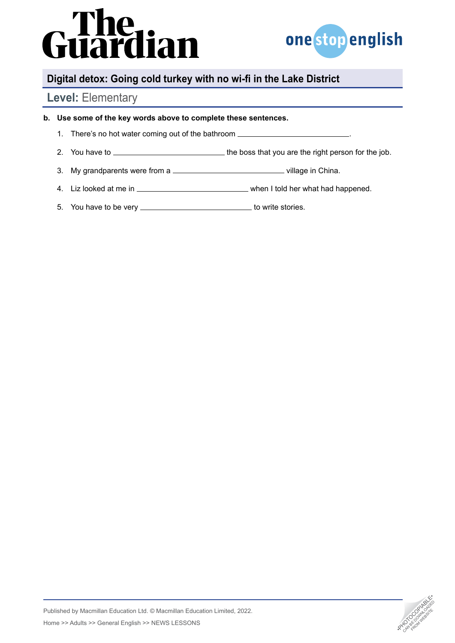# rhe<br>iardian



## **Digital detox: Going cold turkey with no wi-fi in the Lake District**

## **Level:** Elementary

### **b. Use some of the key words above to complete these sentences.**

- 1. There's no hot water coming out of the bathroom .
- 2. You have to  $\overline{\phantom{a}}$  2. You have to  $\overline{\phantom{a}}$  the boss that you are the right person for the job.
- 3. My grandparents were from a \_\_\_\_\_\_\_\_\_\_\_\_\_\_\_\_\_\_\_\_\_\_\_\_\_\_\_\_\_\_\_\_\_\_village in China.
- 4. Liz looked at me in when I told her what had happened.
- 5. You have to be very \_\_\_\_\_\_\_\_\_\_\_\_\_\_\_\_\_\_\_\_\_\_\_\_\_\_\_\_\_\_\_\_ to write stories.

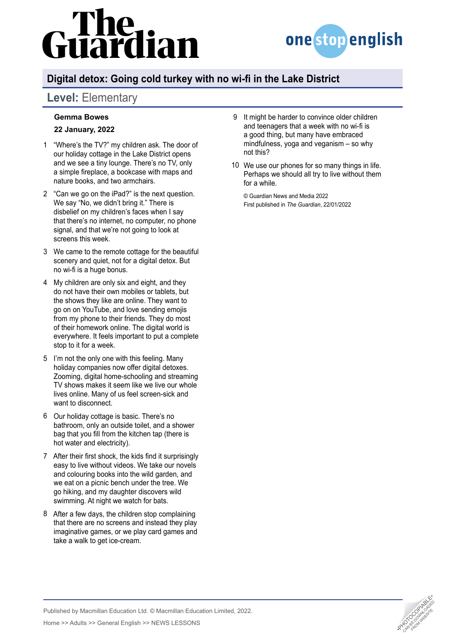# lian



## **Digital detox: Going cold turkey with no wi-fi in the Lake District**

## **Level:** Elementary

### **Gemma Bowes**

### **22 January, 2022**

- "Where's the TV?" my children ask. The door of 1 our holiday cottage in the Lake District opens and we see a tiny lounge. There's no TV, only a simple fireplace, a bookcase with maps and nature books, and two armchairs.
- "Can we go on the iPad?" is the next question. 2 We say "No, we didn't bring it." There is disbelief on my children's faces when I say that there's no internet, no computer, no phone signal, and that we're not going to look at screens this week.
- We came to the remote cottage for the beautiful 3 scenery and quiet, not for a digital detox. But no wi-fi is a huge bonus.
- My children are only six and eight, and they 4 do not have their own mobiles or tablets, but the shows they like are online. They want to go on on YouTube, and love sending emojis from my phone to their friends. They do most of their homework online. The digital world is everywhere. It feels important to put a complete stop to it for a week.
- 5 I'm not the only one with this feeling. Many holiday companies now offer digital detoxes. Zooming, digital home-schooling and streaming TV shows makes it seem like we live our whole lives online. Many of us feel screen-sick and want to disconnect.
- 6 Our holiday cottage is basic. There's no bathroom, only an outside toilet, and a shower bag that you fill from the kitchen tap (there is hot water and electricity).
- After their first shock, the kids find it surprisingly 7 easy to live without videos. We take our novels and colouring books into the wild garden, and we eat on a picnic bench under the tree. We go hiking, and my daughter discovers wild swimming. At night we watch for bats.
- After a few days, the children stop complaining 8 that there are no screens and instead they play imaginative games, or we play card games and take a walk to get ice-cream.
- 9 It might be harder to convince older children and teenagers that a week with no wi-fi is a good thing, but many have embraced mindfulness, yoga and veganism – so why not this?
- We use our phones for so many things in life. 10Perhaps we should all try to live without them for a while.

© Guardian News and Media 2022 First published in *The Guardian*, 22/01/2022



Published by Macmillan Education Ltd. © Macmillan Education Limited, 2022.

Home >> Adults >> General English >> NEWS LESSONS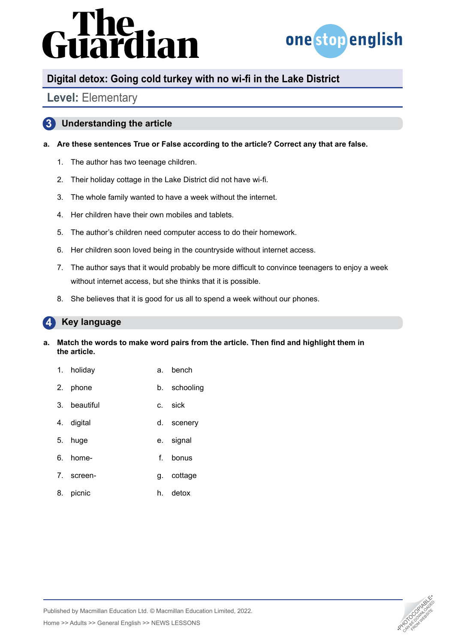# irdian



## **Digital detox: Going cold turkey with no wi-fi in the Lake District**

## **Level:** Elementary

### **3 Understanding the article**

### **a. Are these sentences True or False according to the article? Correct any that are false.**

- 1. The author has two teenage children.
- 2. Their holiday cottage in the Lake District did not have wi-fi.
- 3. The whole family wanted to have a week without the internet.
- 4. Her children have their own mobiles and tablets.
- 5. The author's children need computer access to do their homework.
- 6. Her children soon loved being in the countryside without internet access.
- 7. The author says that it would probably be more difficult to convince teenagers to enjoy a week without internet access, but she thinks that it is possible.
- 8. She believes that it is good for us all to spend a week without our phones.

#### **4 Key language**

### **a. Match the words to make word pairs from the article. Then find and highlight them in the article.**

- 1. holiday **a.** bench
- 2. phone b. schooling
- 3. beautiful c. sick
- 4. digital d. scenery
- 5. huge e. signal
- 6. home- f. bonus
- 7. screen- g. cottage
- 8. picnic h. detox